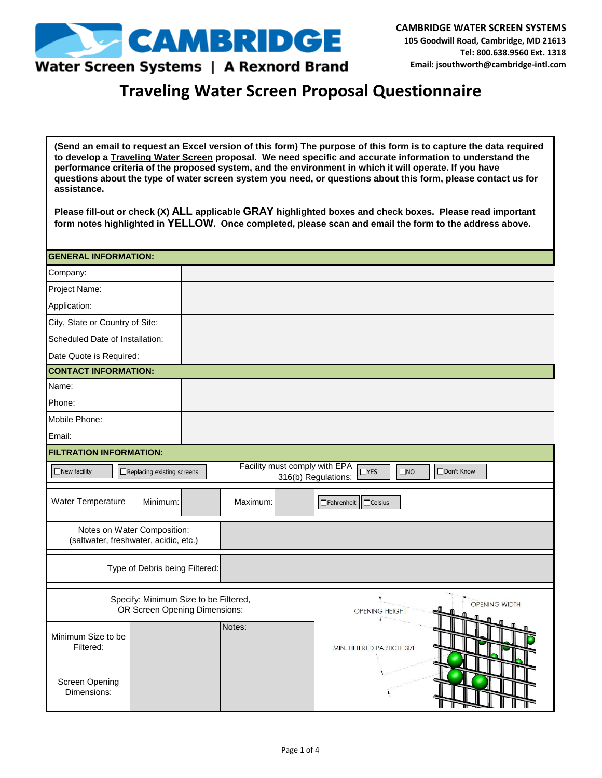

## Water Screen Systems | A Rexnord Brand

## **Traveling Water Screen Proposal Questionnaire**

**(Send an email to request an Excel version of this form) The purpose of this form is to capture the data required to develop a Traveling Water Screen proposal. We need specific and accurate information to understand the performance criteria of the proposed system, and the environment in which it will operate. If you have questions about the type of water screen system you need, or questions about this form, please contact us for assistance.** 

**Please fill-out or check (X) ALL applicable GRAY highlighted boxes and check boxes. Please read important form notes highlighted in YELLOW. Once completed, please scan and email the form to the address above.** 

| <b>GENERAL INFORMATION:</b>                                          |                                                                                                                                   |  |          |                                        |                                     |  |
|----------------------------------------------------------------------|-----------------------------------------------------------------------------------------------------------------------------------|--|----------|----------------------------------------|-------------------------------------|--|
| Company:                                                             |                                                                                                                                   |  |          |                                        |                                     |  |
| Project Name:                                                        |                                                                                                                                   |  |          |                                        |                                     |  |
| Application:                                                         |                                                                                                                                   |  |          |                                        |                                     |  |
| City, State or Country of Site:                                      |                                                                                                                                   |  |          |                                        |                                     |  |
| Scheduled Date of Installation:                                      |                                                                                                                                   |  |          |                                        |                                     |  |
| Date Quote is Required:                                              |                                                                                                                                   |  |          |                                        |                                     |  |
| <b>CONTACT INFORMATION:</b>                                          |                                                                                                                                   |  |          |                                        |                                     |  |
| Name:                                                                |                                                                                                                                   |  |          |                                        |                                     |  |
| Phone:                                                               |                                                                                                                                   |  |          |                                        |                                     |  |
| Mobile Phone:                                                        |                                                                                                                                   |  |          |                                        |                                     |  |
| Email:                                                               |                                                                                                                                   |  |          |                                        |                                     |  |
| <b>FILTRATION INFORMATION:</b>                                       |                                                                                                                                   |  |          |                                        |                                     |  |
| $\Box$ New facility                                                  | Facility must comply with EPA<br>$\Box$ YES<br>□Don't Know<br>□ Replacing existing screens<br>$\square$ NO<br>316(b) Regulations: |  |          |                                        |                                     |  |
| Water Temperature                                                    | Minimum:                                                                                                                          |  | Maximum: |                                        | $\Box$ Celsius<br>$\Box$ Fahrenheit |  |
| Notes on Water Composition:<br>(saltwater, freshwater, acidic, etc.) |                                                                                                                                   |  |          |                                        |                                     |  |
|                                                                      | Type of Debris being Filtered:                                                                                                    |  |          |                                        |                                     |  |
|                                                                      | Specify: Minimum Size to be Filtered,<br>OR Screen Opening Dimensions:                                                            |  |          | OPENING WIDTH<br><b>OPENING HEIGHT</b> |                                     |  |
| Minimum Size to be<br>Filtered:                                      |                                                                                                                                   |  | Notes:   | MIN. FILTERED PARTICLE SIZE            |                                     |  |
| <b>Screen Opening</b><br>Dimensions:                                 |                                                                                                                                   |  |          |                                        |                                     |  |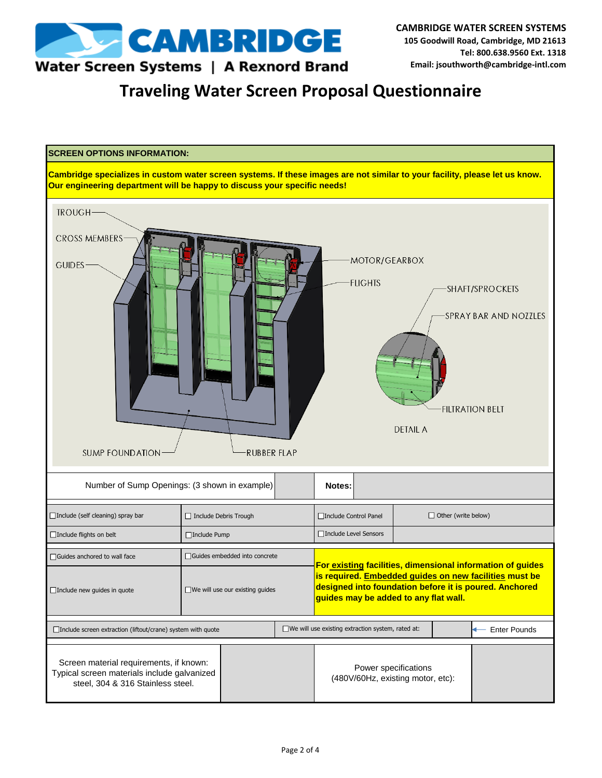

## Water Screen Systems | A Rexnord Brand

**Traveling Water Screen Proposal Questionnaire**

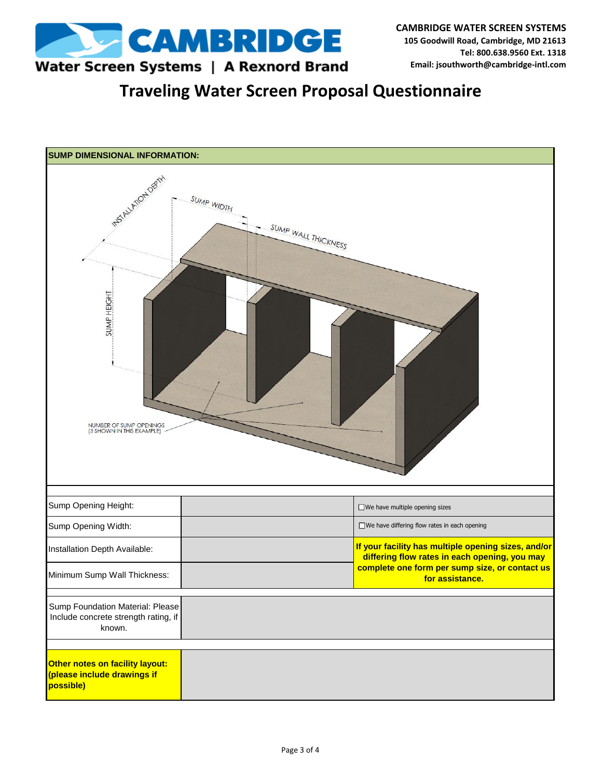

**Traveling Water Screen Proposal Questionnaire**